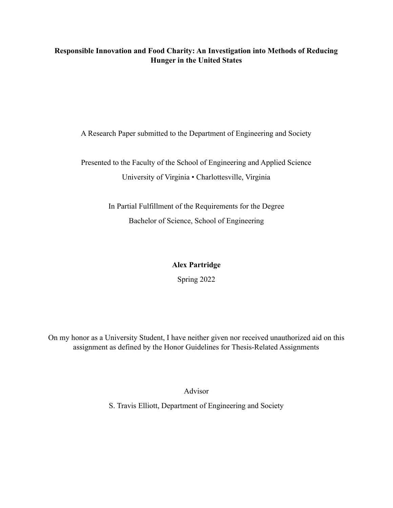## **Responsible Innovation and Food Charity: An Investigation into Methods of Reducing Hunger in the United States**

A Research Paper submitted to the Department of Engineering and Society

Presented to the Faculty of the School of Engineering and Applied Science University of Virginia • Charlottesville, Virginia

> In Partial Fulfillment of the Requirements for the Degree Bachelor of Science, School of Engineering

> > **Alex Partridge**

Spring 2022

On my honor as a University Student, I have neither given nor received unauthorized aid on this assignment as defined by the Honor Guidelines for Thesis-Related Assignments

Advisor

S. Travis Elliott, Department of Engineering and Society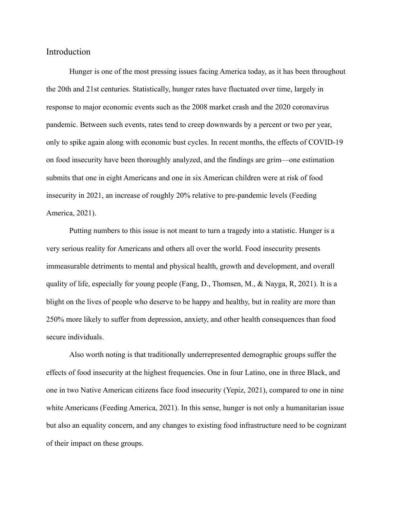## Introduction

Hunger is one of the most pressing issues facing America today, as it has been throughout the 20th and 21st centuries. Statistically, hunger rates have fluctuated over time, largely in response to major economic events such as the 2008 market crash and the 2020 coronavirus pandemic. Between such events, rates tend to creep downwards by a percent or two per year, only to spike again along with economic bust cycles. In recent months, the effects of COVID-19 on food insecurity have been thoroughly analyzed, and the findings are grim—one estimation submits that one in eight Americans and one in six American children were at risk of food insecurity in 2021, an increase of roughly 20% relative to pre-pandemic levels (Feeding America, 2021).

Putting numbers to this issue is not meant to turn a tragedy into a statistic. Hunger is a very serious reality for Americans and others all over the world. Food insecurity presents immeasurable detriments to mental and physical health, growth and development, and overall quality of life, especially for young people (Fang, D., Thomsen, M., & Nayga, R, 2021). It is a blight on the lives of people who deserve to be happy and healthy, but in reality are more than 250% more likely to suffer from depression, anxiety, and other health consequences than food secure individuals.

Also worth noting is that traditionally underrepresented demographic groups suffer the effects of food insecurity at the highest frequencies. One in four Latino, one in three Black, and one in two Native American citizens face food insecurity (Yepiz, 2021), compared to one in nine white Americans (Feeding America, 2021). In this sense, hunger is not only a humanitarian issue but also an equality concern, and any changes to existing food infrastructure need to be cognizant of their impact on these groups.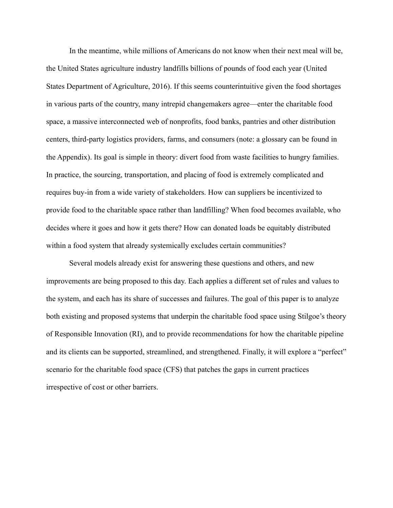In the meantime, while millions of Americans do not know when their next meal will be, the United States agriculture industry landfills billions of pounds of food each year (United States Department of Agriculture, 2016). If this seems counterintuitive given the food shortages in various parts of the country, many intrepid changemakers agree—enter the charitable food space, a massive interconnected web of nonprofits, food banks, pantries and other distribution centers, third-party logistics providers, farms, and consumers (note: a glossary can be found in the Appendix). Its goal is simple in theory: divert food from waste facilities to hungry families. In practice, the sourcing, transportation, and placing of food is extremely complicated and requires buy-in from a wide variety of stakeholders. How can suppliers be incentivized to provide food to the charitable space rather than landfilling? When food becomes available, who decides where it goes and how it gets there? How can donated loads be equitably distributed within a food system that already systemically excludes certain communities?

Several models already exist for answering these questions and others, and new improvements are being proposed to this day. Each applies a different set of rules and values to the system, and each has its share of successes and failures. The goal of this paper is to analyze both existing and proposed systems that underpin the charitable food space using Stilgoe's theory of Responsible Innovation (RI), and to provide recommendations for how the charitable pipeline and its clients can be supported, streamlined, and strengthened. Finally, it will explore a "perfect" scenario for the charitable food space (CFS) that patches the gaps in current practices irrespective of cost or other barriers.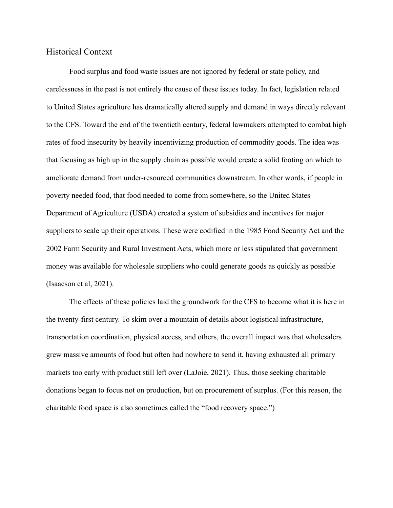### Historical Context

Food surplus and food waste issues are not ignored by federal or state policy, and carelessness in the past is not entirely the cause of these issues today. In fact, legislation related to United States agriculture has dramatically altered supply and demand in ways directly relevant to the CFS. Toward the end of the twentieth century, federal lawmakers attempted to combat high rates of food insecurity by heavily incentivizing production of commodity goods. The idea was that focusing as high up in the supply chain as possible would create a solid footing on which to ameliorate demand from under-resourced communities downstream. In other words, if people in poverty needed food, that food needed to come from somewhere, so the United States Department of Agriculture (USDA) created a system of subsidies and incentives for major suppliers to scale up their operations. These were codified in the 1985 Food Security Act and the 2002 Farm Security and Rural Investment Acts, which more or less stipulated that government money was available for wholesale suppliers who could generate goods as quickly as possible (Isaacson et al, 2021).

The effects of these policies laid the groundwork for the CFS to become what it is here in the twenty-first century. To skim over a mountain of details about logistical infrastructure, transportation coordination, physical access, and others, the overall impact was that wholesalers grew massive amounts of food but often had nowhere to send it, having exhausted all primary markets too early with product still left over (LaJoie, 2021). Thus, those seeking charitable donations began to focus not on production, but on procurement of surplus. (For this reason, the charitable food space is also sometimes called the "food recovery space.")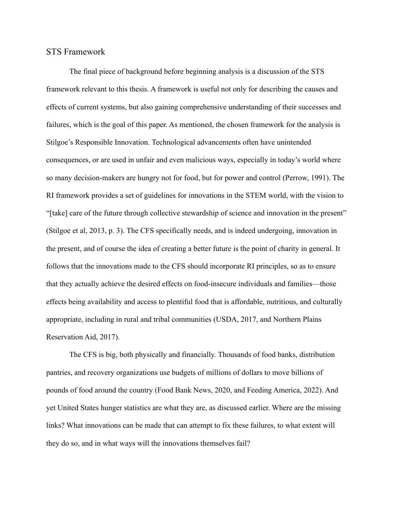## STS Framework

The final piece of background before beginning analysis is a discussion of the STS framework relevant to this thesis. A framework is useful not only for describing the causes and effects of current systems, but also gaining comprehensive understanding of their successes and failures, which is the goal of this paper. As mentioned, the chosen framework for the analysis is Stilgoe's Responsible Innovation. Technological advancements often have unintended consequences, or are used in unfair and even malicious ways, especially in today's world where so many decision-makers are hungry not for food, but for power and control (Perrow, 1991). The RI framework provides a set of guidelines for innovations in the STEM world, with the vision to "[take] care of the future through collective stewardship of science and innovation in the present" (Stilgoe et al, 2013, p. 3). The CFS specifically needs, and is indeed undergoing, innovation in the present, and of course the idea of creating a better future is the point of charity in general. It follows that the innovations made to the CFS should incorporate RI principles, so as to ensure that they actually achieve the desired effects on food-insecure individuals and families—those effects being availability and access to plentiful food that is affordable, nutritious, and culturally appropriate, including in rural and tribal communities (USDA, 2017, and Northern Plains Reservation Aid, 2017).

The CFS is big, both physically and financially. Thousands of food banks, distribution pantries, and recovery organizations use budgets of millions of dollars to move billions of pounds of food around the country (Food Bank News, 2020, and Feeding America, 2022). And yet United States hunger statistics are what they are, as discussed earlier. Where are the missing links? What innovations can be made that can attempt to fix these failures, to what extent will they do so, and in what ways will the innovations themselves fail?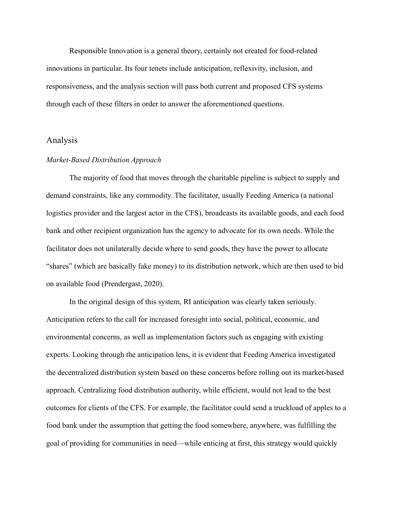Responsible Innovation is a general theory, certainly not created for food-related innovations in particular. Its four tenets include anticipation, reflexivity, inclusion, and responsiveness, and the analysis section will pass both current and proposed CFS systems through each of these filters in order to answer the aforementioned questions.

#### Analysis

#### *Market-Based Distribution Approach*

The majority of food that moves through the charitable pipeline is subject to supply and demand constraints, like any commodity. The facilitator, usually Feeding America (a national logistics provider and the largest actor in the CFS), broadcasts its available goods, and each food bank and other recipient organization has the agency to advocate for its own needs. While the facilitator does not unilaterally decide where to send goods, they have the power to allocate "shares" (which are basically fake money) to its distribution network, which are then used to bid on available food (Prendergast, 2020).

In the original design of this system, RI anticipation was clearly taken seriously. Anticipation refers to the call for increased foresight into social, political, economic, and environmental concerns, as well as implementation factors such as engaging with existing experts. Looking through the anticipation lens, it is evident that Feeding America investigated the decentralized distribution system based on these concerns before rolling out its market-based approach. Centralizing food distribution authority, while efficient, would not lead to the best outcomes for clients of the CFS. For example, the facilitator could send a truckload of apples to a food bank under the assumption that getting the food somewhere, anywhere, was fulfilling the goal of providing for communities in need—while enticing at first, this strategy would quickly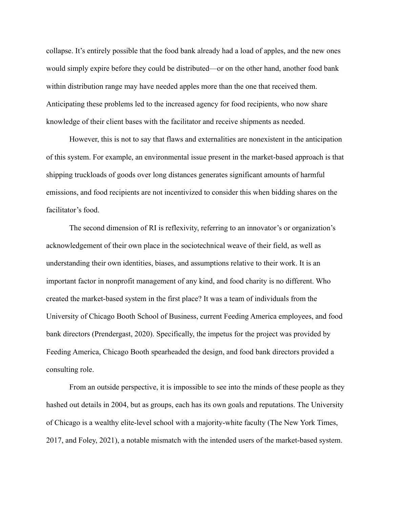collapse. It's entirely possible that the food bank already had a load of apples, and the new ones would simply expire before they could be distributed—or on the other hand, another food bank within distribution range may have needed apples more than the one that received them. Anticipating these problems led to the increased agency for food recipients, who now share knowledge of their client bases with the facilitator and receive shipments as needed.

However, this is not to say that flaws and externalities are nonexistent in the anticipation of this system. For example, an environmental issue present in the market-based approach is that shipping truckloads of goods over long distances generates significant amounts of harmful emissions, and food recipients are not incentivized to consider this when bidding shares on the facilitator's food.

The second dimension of RI is reflexivity, referring to an innovator's or organization's acknowledgement of their own place in the sociotechnical weave of their field, as well as understanding their own identities, biases, and assumptions relative to their work. It is an important factor in nonprofit management of any kind, and food charity is no different. Who created the market-based system in the first place? It was a team of individuals from the University of Chicago Booth School of Business, current Feeding America employees, and food bank directors (Prendergast, 2020). Specifically, the impetus for the project was provided by Feeding America, Chicago Booth spearheaded the design, and food bank directors provided a consulting role.

From an outside perspective, it is impossible to see into the minds of these people as they hashed out details in 2004, but as groups, each has its own goals and reputations. The University of Chicago is a wealthy elite-level school with a majority-white faculty (The New York Times, 2017, and Foley, 2021), a notable mismatch with the intended users of the market-based system.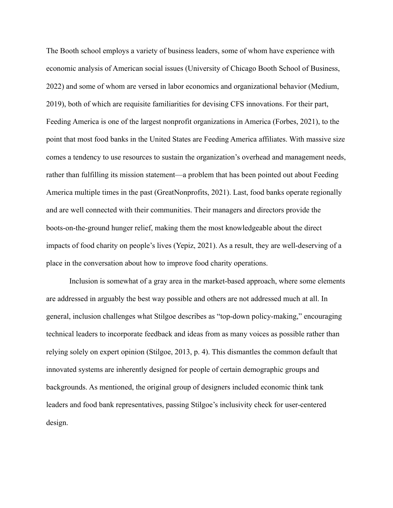The Booth school employs a variety of business leaders, some of whom have experience with economic analysis of American social issues (University of Chicago Booth School of Business, 2022) and some of whom are versed in labor economics and organizational behavior (Medium, 2019), both of which are requisite familiarities for devising CFS innovations. For their part, Feeding America is one of the largest nonprofit organizations in America (Forbes, 2021), to the point that most food banks in the United States are Feeding America affiliates. With massive size comes a tendency to use resources to sustain the organization's overhead and management needs, rather than fulfilling its mission statement—a problem that has been pointed out about Feeding America multiple times in the past (GreatNonprofits, 2021). Last, food banks operate regionally and are well connected with their communities. Their managers and directors provide the boots-on-the-ground hunger relief, making them the most knowledgeable about the direct impacts of food charity on people's lives (Yepiz, 2021). As a result, they are well-deserving of a place in the conversation about how to improve food charity operations.

Inclusion is somewhat of a gray area in the market-based approach, where some elements are addressed in arguably the best way possible and others are not addressed much at all. In general, inclusion challenges what Stilgoe describes as "top-down policy-making," encouraging technical leaders to incorporate feedback and ideas from as many voices as possible rather than relying solely on expert opinion (Stilgoe, 2013, p. 4). This dismantles the common default that innovated systems are inherently designed for people of certain demographic groups and backgrounds. As mentioned, the original group of designers included economic think tank leaders and food bank representatives, passing Stilgoe's inclusivity check for user-centered design.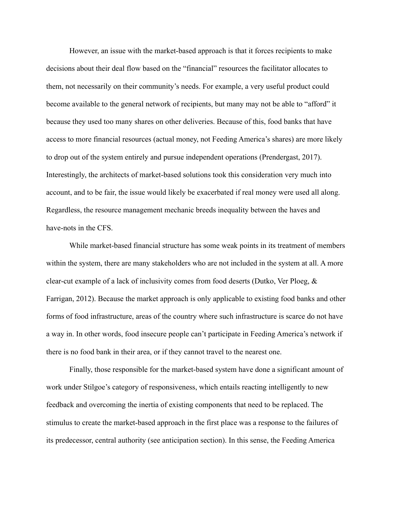However, an issue with the market-based approach is that it forces recipients to make decisions about their deal flow based on the "financial" resources the facilitator allocates to them, not necessarily on their community's needs. For example, a very useful product could become available to the general network of recipients, but many may not be able to "afford" it because they used too many shares on other deliveries. Because of this, food banks that have access to more financial resources (actual money, not Feeding America's shares) are more likely to drop out of the system entirely and pursue independent operations (Prendergast, 2017). Interestingly, the architects of market-based solutions took this consideration very much into account, and to be fair, the issue would likely be exacerbated if real money were used all along. Regardless, the resource management mechanic breeds inequality between the haves and have-nots in the CFS.

While market-based financial structure has some weak points in its treatment of members within the system, there are many stakeholders who are not included in the system at all. A more clear-cut example of a lack of inclusivity comes from food deserts (Dutko, Ver Ploeg, & Farrigan, 2012). Because the market approach is only applicable to existing food banks and other forms of food infrastructure, areas of the country where such infrastructure is scarce do not have a way in. In other words, food insecure people can't participate in Feeding America's network if there is no food bank in their area, or if they cannot travel to the nearest one.

Finally, those responsible for the market-based system have done a significant amount of work under Stilgoe's category of responsiveness, which entails reacting intelligently to new feedback and overcoming the inertia of existing components that need to be replaced. The stimulus to create the market-based approach in the first place was a response to the failures of its predecessor, central authority (see anticipation section). In this sense, the Feeding America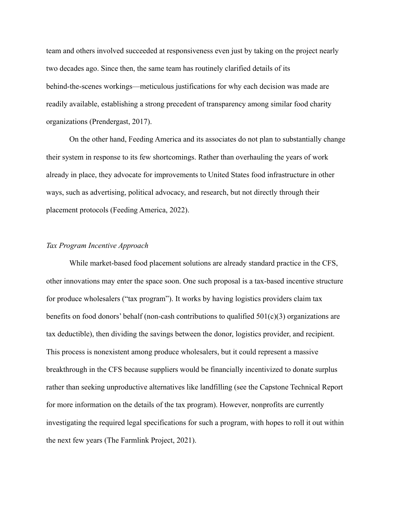team and others involved succeeded at responsiveness even just by taking on the project nearly two decades ago. Since then, the same team has routinely clarified details of its behind-the-scenes workings—meticulous justifications for why each decision was made are readily available, establishing a strong precedent of transparency among similar food charity organizations (Prendergast, 2017).

On the other hand, Feeding America and its associates do not plan to substantially change their system in response to its few shortcomings. Rather than overhauling the years of work already in place, they advocate for improvements to United States food infrastructure in other ways, such as advertising, political advocacy, and research, but not directly through their placement protocols (Feeding America, 2022).

#### *Tax Program Incentive Approach*

While market-based food placement solutions are already standard practice in the CFS, other innovations may enter the space soon. One such proposal is a tax-based incentive structure for produce wholesalers ("tax program"). It works by having logistics providers claim tax benefits on food donors' behalf (non-cash contributions to qualified  $501(c)(3)$  organizations are tax deductible), then dividing the savings between the donor, logistics provider, and recipient. This process is nonexistent among produce wholesalers, but it could represent a massive breakthrough in the CFS because suppliers would be financially incentivized to donate surplus rather than seeking unproductive alternatives like landfilling (see the Capstone Technical Report for more information on the details of the tax program). However, nonprofits are currently investigating the required legal specifications for such a program, with hopes to roll it out within the next few years (The Farmlink Project, 2021).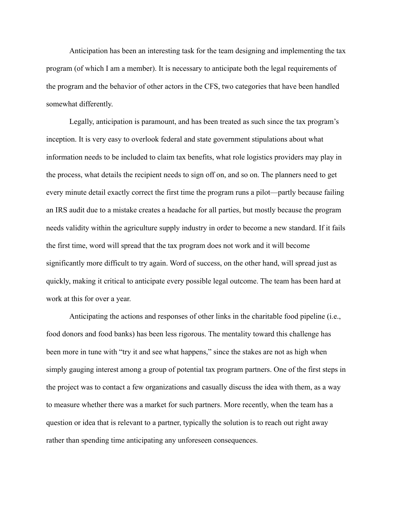Anticipation has been an interesting task for the team designing and implementing the tax program (of which I am a member). It is necessary to anticipate both the legal requirements of the program and the behavior of other actors in the CFS, two categories that have been handled somewhat differently.

Legally, anticipation is paramount, and has been treated as such since the tax program's inception. It is very easy to overlook federal and state government stipulations about what information needs to be included to claim tax benefits, what role logistics providers may play in the process, what details the recipient needs to sign off on, and so on. The planners need to get every minute detail exactly correct the first time the program runs a pilot—partly because failing an IRS audit due to a mistake creates a headache for all parties, but mostly because the program needs validity within the agriculture supply industry in order to become a new standard. If it fails the first time, word will spread that the tax program does not work and it will become significantly more difficult to try again. Word of success, on the other hand, will spread just as quickly, making it critical to anticipate every possible legal outcome. The team has been hard at work at this for over a year.

Anticipating the actions and responses of other links in the charitable food pipeline (i.e., food donors and food banks) has been less rigorous. The mentality toward this challenge has been more in tune with "try it and see what happens," since the stakes are not as high when simply gauging interest among a group of potential tax program partners. One of the first steps in the project was to contact a few organizations and casually discuss the idea with them, as a way to measure whether there was a market for such partners. More recently, when the team has a question or idea that is relevant to a partner, typically the solution is to reach out right away rather than spending time anticipating any unforeseen consequences.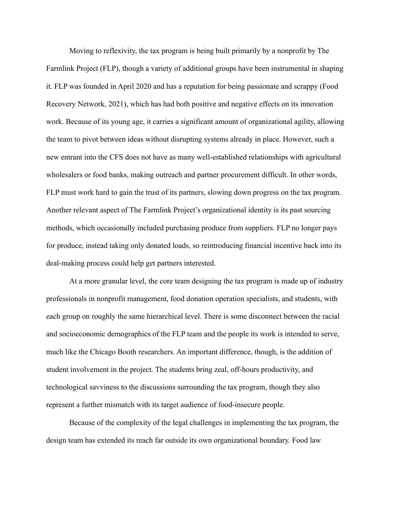Moving to reflexivity, the tax program is being built primarily by a nonprofit by The Farmlink Project (FLP), though a variety of additional groups have been instrumental in shaping it. FLP was founded in April 2020 and has a reputation for being passionate and scrappy (Food Recovery Network, 2021), which has had both positive and negative effects on its innovation work. Because of its young age, it carries a significant amount of organizational agility, allowing the team to pivot between ideas without disrupting systems already in place. However, such a new entrant into the CFS does not have as many well-established relationships with agricultural wholesalers or food banks, making outreach and partner procurement difficult. In other words, FLP must work hard to gain the trust of its partners, slowing down progress on the tax program. Another relevant aspect of The Farmlink Project's organizational identity is its past sourcing methods, which occasionally included purchasing produce from suppliers. FLP no longer pays for produce, instead taking only donated loads, so reintroducing financial incentive back into its deal-making process could help get partners interested.

At a more granular level, the core team designing the tax program is made up of industry professionals in nonprofit management, food donation operation specialists, and students, with each group on roughly the same hierarchical level. There is some disconnect between the racial and socioeconomic demographics of the FLP team and the people its work is intended to serve, much like the Chicago Booth researchers. An important difference, though, is the addition of student involvement in the project. The students bring zeal, off-hours productivity, and technological savviness to the discussions surrounding the tax program, though they also represent a further mismatch with its target audience of food-insecure people.

Because of the complexity of the legal challenges in implementing the tax program, the design team has extended its reach far outside its own organizational boundary. Food law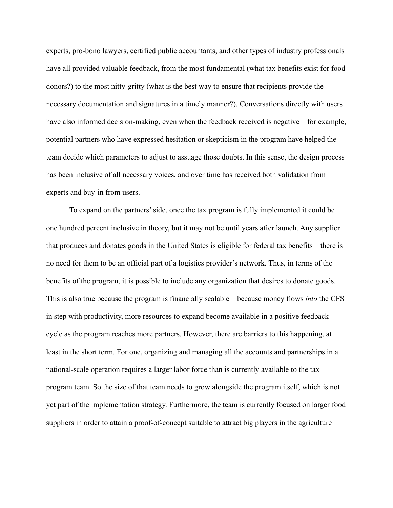experts, pro-bono lawyers, certified public accountants, and other types of industry professionals have all provided valuable feedback, from the most fundamental (what tax benefits exist for food donors?) to the most nitty-gritty (what is the best way to ensure that recipients provide the necessary documentation and signatures in a timely manner?). Conversations directly with users have also informed decision-making, even when the feedback received is negative—for example, potential partners who have expressed hesitation or skepticism in the program have helped the team decide which parameters to adjust to assuage those doubts. In this sense, the design process has been inclusive of all necessary voices, and over time has received both validation from experts and buy-in from users.

To expand on the partners' side, once the tax program is fully implemented it could be one hundred percent inclusive in theory, but it may not be until years after launch. Any supplier that produces and donates goods in the United States is eligible for federal tax benefits—there is no need for them to be an official part of a logistics provider's network. Thus, in terms of the benefits of the program, it is possible to include any organization that desires to donate goods. This is also true because the program is financially scalable—because money flows *into* the CFS in step with productivity, more resources to expand become available in a positive feedback cycle as the program reaches more partners. However, there are barriers to this happening, at least in the short term. For one, organizing and managing all the accounts and partnerships in a national-scale operation requires a larger labor force than is currently available to the tax program team. So the size of that team needs to grow alongside the program itself, which is not yet part of the implementation strategy. Furthermore, the team is currently focused on larger food suppliers in order to attain a proof-of-concept suitable to attract big players in the agriculture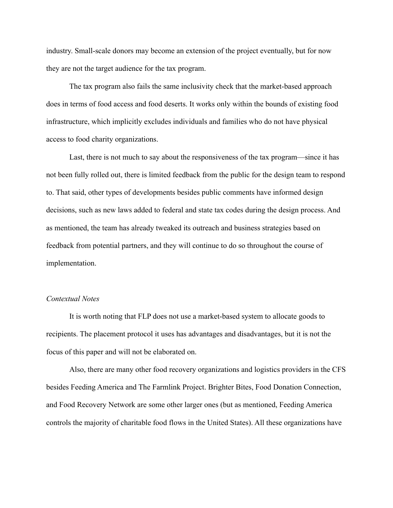industry. Small-scale donors may become an extension of the project eventually, but for now they are not the target audience for the tax program.

The tax program also fails the same inclusivity check that the market-based approach does in terms of food access and food deserts. It works only within the bounds of existing food infrastructure, which implicitly excludes individuals and families who do not have physical access to food charity organizations.

Last, there is not much to say about the responsiveness of the tax program—since it has not been fully rolled out, there is limited feedback from the public for the design team to respond to. That said, other types of developments besides public comments have informed design decisions, such as new laws added to federal and state tax codes during the design process. And as mentioned, the team has already tweaked its outreach and business strategies based on feedback from potential partners, and they will continue to do so throughout the course of implementation.

#### *Contextual Notes*

It is worth noting that FLP does not use a market-based system to allocate goods to recipients. The placement protocol it uses has advantages and disadvantages, but it is not the focus of this paper and will not be elaborated on.

Also, there are many other food recovery organizations and logistics providers in the CFS besides Feeding America and The Farmlink Project. Brighter Bites, Food Donation Connection, and Food Recovery Network are some other larger ones (but as mentioned, Feeding America controls the majority of charitable food flows in the United States). All these organizations have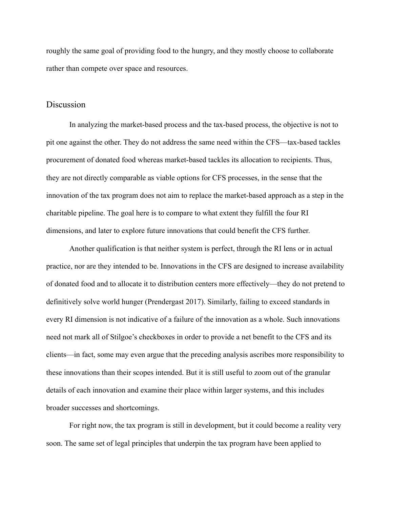roughly the same goal of providing food to the hungry, and they mostly choose to collaborate rather than compete over space and resources.

## Discussion

In analyzing the market-based process and the tax-based process, the objective is not to pit one against the other. They do not address the same need within the CFS—tax-based tackles procurement of donated food whereas market-based tackles its allocation to recipients. Thus, they are not directly comparable as viable options for CFS processes, in the sense that the innovation of the tax program does not aim to replace the market-based approach as a step in the charitable pipeline. The goal here is to compare to what extent they fulfill the four RI dimensions, and later to explore future innovations that could benefit the CFS further.

Another qualification is that neither system is perfect, through the RI lens or in actual practice, nor are they intended to be. Innovations in the CFS are designed to increase availability of donated food and to allocate it to distribution centers more effectively—they do not pretend to definitively solve world hunger (Prendergast 2017). Similarly, failing to exceed standards in every RI dimension is not indicative of a failure of the innovation as a whole. Such innovations need not mark all of Stilgoe's checkboxes in order to provide a net benefit to the CFS and its clients—in fact, some may even argue that the preceding analysis ascribes more responsibility to these innovations than their scopes intended. But it is still useful to zoom out of the granular details of each innovation and examine their place within larger systems, and this includes broader successes and shortcomings.

For right now, the tax program is still in development, but it could become a reality very soon. The same set of legal principles that underpin the tax program have been applied to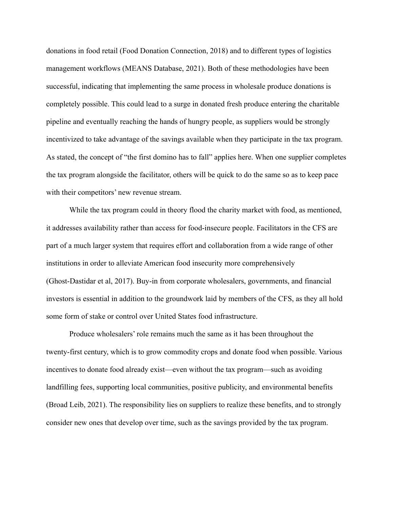donations in food retail (Food Donation Connection, 2018) and to different types of logistics management workflows (MEANS Database, 2021). Both of these methodologies have been successful, indicating that implementing the same process in wholesale produce donations is completely possible. This could lead to a surge in donated fresh produce entering the charitable pipeline and eventually reaching the hands of hungry people, as suppliers would be strongly incentivized to take advantage of the savings available when they participate in the tax program. As stated, the concept of "the first domino has to fall" applies here. When one supplier completes the tax program alongside the facilitator, others will be quick to do the same so as to keep pace with their competitors' new revenue stream.

While the tax program could in theory flood the charity market with food, as mentioned, it addresses availability rather than access for food-insecure people. Facilitators in the CFS are part of a much larger system that requires effort and collaboration from a wide range of other institutions in order to alleviate American food insecurity more comprehensively (Ghost-Dastidar et al, 2017). Buy-in from corporate wholesalers, governments, and financial investors is essential in addition to the groundwork laid by members of the CFS, as they all hold some form of stake or control over United States food infrastructure.

Produce wholesalers' role remains much the same as it has been throughout the twenty-first century, which is to grow commodity crops and donate food when possible. Various incentives to donate food already exist—even without the tax program—such as avoiding landfilling fees, supporting local communities, positive publicity, and environmental benefits (Broad Leib, 2021). The responsibility lies on suppliers to realize these benefits, and to strongly consider new ones that develop over time, such as the savings provided by the tax program.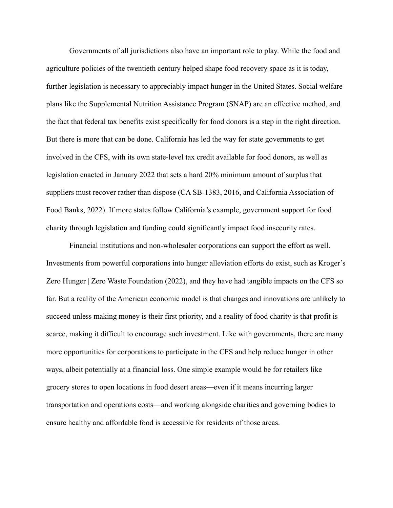Governments of all jurisdictions also have an important role to play. While the food and agriculture policies of the twentieth century helped shape food recovery space as it is today, further legislation is necessary to appreciably impact hunger in the United States. Social welfare plans like the Supplemental Nutrition Assistance Program (SNAP) are an effective method, and the fact that federal tax benefits exist specifically for food donors is a step in the right direction. But there is more that can be done. California has led the way for state governments to get involved in the CFS, with its own state-level tax credit available for food donors, as well as legislation enacted in January 2022 that sets a hard 20% minimum amount of surplus that suppliers must recover rather than dispose (CA SB-1383, 2016, and California Association of Food Banks, 2022). If more states follow California's example, government support for food charity through legislation and funding could significantly impact food insecurity rates.

Financial institutions and non-wholesaler corporations can support the effort as well. Investments from powerful corporations into hunger alleviation efforts do exist, such as Kroger's Zero Hunger | Zero Waste Foundation (2022), and they have had tangible impacts on the CFS so far. But a reality of the American economic model is that changes and innovations are unlikely to succeed unless making money is their first priority, and a reality of food charity is that profit is scarce, making it difficult to encourage such investment. Like with governments, there are many more opportunities for corporations to participate in the CFS and help reduce hunger in other ways, albeit potentially at a financial loss. One simple example would be for retailers like grocery stores to open locations in food desert areas—even if it means incurring larger transportation and operations costs—and working alongside charities and governing bodies to ensure healthy and affordable food is accessible for residents of those areas.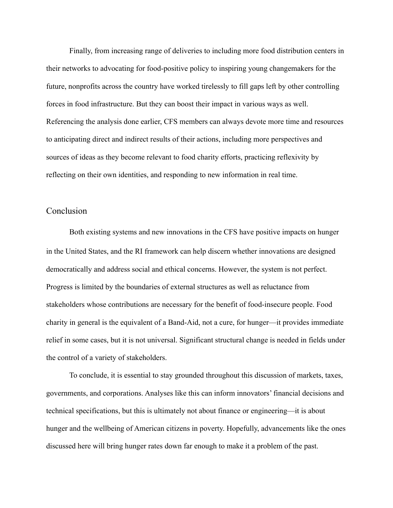Finally, from increasing range of deliveries to including more food distribution centers in their networks to advocating for food-positive policy to inspiring young changemakers for the future, nonprofits across the country have worked tirelessly to fill gaps left by other controlling forces in food infrastructure. But they can boost their impact in various ways as well. Referencing the analysis done earlier, CFS members can always devote more time and resources to anticipating direct and indirect results of their actions, including more perspectives and sources of ideas as they become relevant to food charity efforts, practicing reflexivity by reflecting on their own identities, and responding to new information in real time.

## Conclusion

Both existing systems and new innovations in the CFS have positive impacts on hunger in the United States, and the RI framework can help discern whether innovations are designed democratically and address social and ethical concerns. However, the system is not perfect. Progress is limited by the boundaries of external structures as well as reluctance from stakeholders whose contributions are necessary for the benefit of food-insecure people. Food charity in general is the equivalent of a Band-Aid, not a cure, for hunger—it provides immediate relief in some cases, but it is not universal. Significant structural change is needed in fields under the control of a variety of stakeholders.

To conclude, it is essential to stay grounded throughout this discussion of markets, taxes, governments, and corporations. Analyses like this can inform innovators' financial decisions and technical specifications, but this is ultimately not about finance or engineering—it is about hunger and the wellbeing of American citizens in poverty. Hopefully, advancements like the ones discussed here will bring hunger rates down far enough to make it a problem of the past.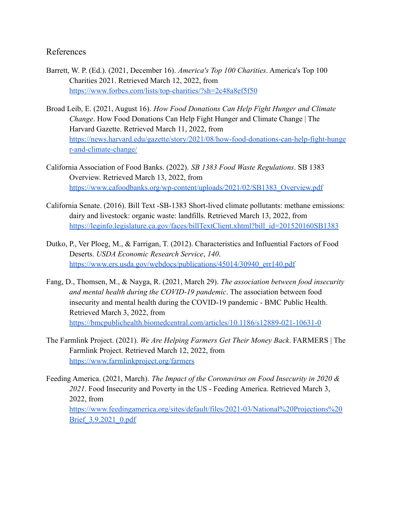# References

- Barrett, W. P. (Ed.). (2021, December 16). *America's Top 100 Charities*. America's Top 100 Charities 2021. Retrieved March 12, 2022, from <https://www.forbes.com/lists/top-charities/?sh=2c48a8ef5f50>
- Broad Leib, E. (2021, August 16). *How Food Donations Can Help Fight Hunger and Climate Change*. How Food Donations Can Help Fight Hunger and Climate Change | The Harvard Gazette. Retrieved March 11, 2022, from [https://news.harvard.edu/gazette/story/2021/08/how-food-donations-can-help-fight-hunge](https://news.harvard.edu/gazette/story/2021/08/how-food-donations-can-help-fight-hunger-and-climate-change/) [r-and-climate-change/](https://news.harvard.edu/gazette/story/2021/08/how-food-donations-can-help-fight-hunger-and-climate-change/)
- California Association of Food Banks. (2022). *SB 1383 Food Waste Regulations*. SB 1383 Overview. Retrieved March 13, 2022, from [https://www.cafoodbanks.org/wp-content/uploads/2021/02/SB1383\\_Overview.pdf](https://www.cafoodbanks.org/wp-content/uploads/2021/02/SB1383_Overview.pdf)
- California Senate. (2016). Bill Text -SB-1383 Short-lived climate pollutants: methane emissions: dairy and livestock: organic waste: landfills. Retrieved March 13, 2022, from [https://leginfo.legislature.ca.gov/faces/billTextClient.xhtml?bill\\_id=201520160SB1383](https://leginfo.legislature.ca.gov/faces/billTextClient.xhtml?bill_id=201520160SB1383)
- Dutko, P., Ver Ploeg, M., & Farrigan, T. (2012). Characteristics and Influential Factors of Food Deserts. *USDA Economic Research Service*, *140*. [https://www.ers.usda.gov/webdocs/publications/45014/30940\\_err140.pdf](https://www.ers.usda.gov/webdocs/publications/45014/30940_err140.pdf)
- Fang, D., Thomsen, M., & Nayga, R. (2021, March 29). *The association between food insecurity and mental health during the COVID-19 pandemic*. The association between food insecurity and mental health during the COVID-19 pandemic - BMC Public Health. Retrieved March 3, 2022, from <https://bmcpublichealth.biomedcentral.com/articles/10.1186/s12889-021-10631-0>
- The Farmlink Project. (2021). *We Are Helping Farmers Get Their Money Back*. FARMERS | The Farmlink Project. Retrieved March 12, 2022, from <https://www.farmlinkproject.org/farmers>
- Feeding America. (2021, March). *The Impact of the Coronavirus on Food Insecurity in 2020 & 2021*. Food Insecurity and Poverty in the US - Feeding America. Retrieved March 3, 2022, from [https://www.feedingamerica.org/sites/default/files/2021-03/National%20Projections%20](https://www.feedingamerica.org/sites/default/files/2021-03/National%20Projections%20Brief_3.9.2021_0.pdf) Brief 3.9.2021 0.pdf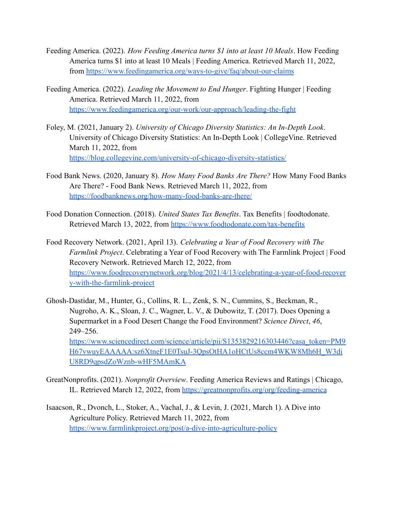- Feeding America. (2022). *How Feeding America turns \$1 into at least 10 Meals*. How Feeding America turns \$1 into at least 10 Meals | Feeding America. Retrieved March 11, 2022, from <https://www.feedingamerica.org/ways-to-give/faq/about-our-claims>
- Feeding America. (2022). *Leading the Movement to End Hunger*. Fighting Hunger | Feeding America. Retrieved March 11, 2022, from <https://www.feedingamerica.org/our-work/our-approach/leading-the-fight>
- Foley, M. (2021, January 2). *University of Chicago Diversity Statistics: An In-Depth Look*. University of Chicago Diversity Statistics: An In-Depth Look | CollegeVine. Retrieved March 11, 2022, from <https://blog.collegevine.com/university-of-chicago-diversity-statistics/>
- Food Bank News. (2020, January 8). *How Many Food Banks Are There?* How Many Food Banks Are There? - Food Bank News. Retrieved March 11, 2022, from <https://foodbanknews.org/how-many-food-banks-are-there/>
- Food Donation Connection. (2018). *United States Tax Benefits*. Tax Benefits | foodtodonate. Retrieved March 13, 2022, from <https://www.foodtodonate.com/tax-benefits>
- Food Recovery Network. (2021, April 13). *Celebrating a Year of Food Recovery with The Farmlink Project*. Celebrating a Year of Food Recovery with The Farmlink Project | Food Recovery Network. Retrieved March 12, 2022, from [https://www.foodrecoverynetwork.org/blog/2021/4/13/celebrating-a-year-of-food-recover](https://www.foodrecoverynetwork.org/blog/2021/4/13/celebrating-a-year-of-food-recovery-with-the-farmlink-project) [y-with-the-farmlink-project](https://www.foodrecoverynetwork.org/blog/2021/4/13/celebrating-a-year-of-food-recovery-with-the-farmlink-project)
- Ghosh-Dastidar, M., Hunter, G., Collins, R. L., Zenk, S. N., Cummins, S., Beckman, R., Nugroho, A. K., Sloan, J. C., Wagner, L. V., & Dubowitz, T. (2017). Does Opening a Supermarket in a Food Desert Change the Food Environment? *Science Direct*, *46*, 249–256. [https://www.sciencedirect.com/science/article/pii/S1353829216303446?casa\\_token=PM9](https://www.sciencedirect.com/science/article/pii/S1353829216303446?casa_token=PM9H67vwuyEAAAAA:sz6XtneF1E0TsuJ-3QpsOtHA1oHCtUs8ccm4WKW8Mh6H_W3diU8RD9qpsdZoWznb-wHF5MAmKA) [H67vwuyEAAAAA:sz6XtneF1E0TsuJ-3QpsOtHA1oHCtUs8ccm4WKW8Mh6H\\_W3di](https://www.sciencedirect.com/science/article/pii/S1353829216303446?casa_token=PM9H67vwuyEAAAAA:sz6XtneF1E0TsuJ-3QpsOtHA1oHCtUs8ccm4WKW8Mh6H_W3diU8RD9qpsdZoWznb-wHF5MAmKA) [U8RD9qpsdZoWznb-wHF5MAmKA](https://www.sciencedirect.com/science/article/pii/S1353829216303446?casa_token=PM9H67vwuyEAAAAA:sz6XtneF1E0TsuJ-3QpsOtHA1oHCtUs8ccm4WKW8Mh6H_W3diU8RD9qpsdZoWznb-wHF5MAmKA)
- GreatNonprofits. (2021). *Nonprofit Overview*. Feeding America Reviews and Ratings | Chicago, IL. Retrieved March 12, 2022, from <https://greatnonprofits.org/org/feeding-america>
- Isaacson, R., Dvonch, L., Stoker, A., Vachal, J., & Levin, J. (2021, March 1). A Dive into Agriculture Policy. Retrieved March 11, 2022, from <https://www.farmlinkproject.org/post/a-dive-into-agriculture-policy>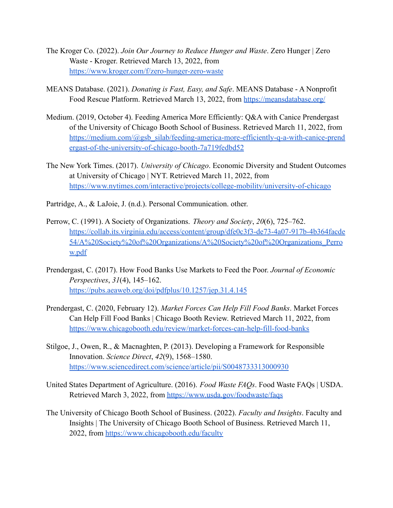- The Kroger Co. (2022). *Join Our Journey to Reduce Hunger and Waste*. Zero Hunger | Zero Waste - Kroger. Retrieved March 13, 2022, from <https://www.kroger.com/f/zero-hunger-zero-waste>
- MEANS Database. (2021). *Donating is Fast, Easy, and Safe*. MEANS Database A Nonprofit Food Rescue Platform. Retrieved March 13, 2022, from <https://meansdatabase.org/>
- Medium. (2019, October 4). Feeding America More Efficiently: Q&A with Canice Prendergast of the University of Chicago Booth School of Business. Retrieved March 11, 2022, from [https://medium.com/@gsb\\_silab/feeding-america-more-efficiently-q-a-with-canice-prend](https://medium.com/@gsb_silab/feeding-america-more-efficiently-q-a-with-canice-prendergast-of-the-university-of-chicago-booth-7a719fedbd52) [ergast-of-the-university-of-chicago-booth-7a719fedbd52](https://medium.com/@gsb_silab/feeding-america-more-efficiently-q-a-with-canice-prendergast-of-the-university-of-chicago-booth-7a719fedbd52)
- The New York Times. (2017). *University of Chicago*. Economic Diversity and Student Outcomes at University of Chicago | NYT. Retrieved March 11, 2022, from <https://www.nytimes.com/interactive/projects/college-mobility/university-of-chicago>
- Partridge, A., & LaJoie, J. (n.d.). Personal Communication. other.
- Perrow, C. (1991). A Society of Organizations. *Theory and Society*, *20*(6), 725–762. [https://collab.its.virginia.edu/access/content/group/dfe0c3f3-de73-4a07-917b-4b364facde](https://collab.its.virginia.edu/access/content/group/dfe0c3f3-de73-4a07-917b-4b364facde54/A%20Society%20of%20Organizations/A%20Society%20of%20Organizations_Perrow.pdf) [54/A%20Society%20of%20Organizations/A%20Society%20of%20Organizations\\_Perro](https://collab.its.virginia.edu/access/content/group/dfe0c3f3-de73-4a07-917b-4b364facde54/A%20Society%20of%20Organizations/A%20Society%20of%20Organizations_Perrow.pdf) [w.pdf](https://collab.its.virginia.edu/access/content/group/dfe0c3f3-de73-4a07-917b-4b364facde54/A%20Society%20of%20Organizations/A%20Society%20of%20Organizations_Perrow.pdf)
- Prendergast, C. (2017). How Food Banks Use Markets to Feed the Poor. *Journal of Economic Perspectives*, *31*(4), 145–162. <https://pubs.aeaweb.org/doi/pdfplus/10.1257/jep.31.4.145>
- Prendergast, C. (2020, February 12). *Market Forces Can Help Fill Food Banks*. Market Forces Can Help Fill Food Banks | Chicago Booth Review. Retrieved March 11, 2022, from <https://www.chicagobooth.edu/review/market-forces-can-help-fill-food-banks>
- Stilgoe, J., Owen, R., & Macnaghten, P. (2013). Developing a Framework for Responsible Innovation. *Science Direct*, *42*(9), 1568–1580. <https://www.sciencedirect.com/science/article/pii/S0048733313000930>
- United States Department of Agriculture. (2016). *Food Waste FAQs*. Food Waste FAQs | USDA. Retrieved March 3, 2022, from <https://www.usda.gov/foodwaste/faqs>
- The University of Chicago Booth School of Business. (2022). *Faculty and Insights*. Faculty and Insights | The University of Chicago Booth School of Business. Retrieved March 11, 2022, from <https://www.chicagobooth.edu/faculty>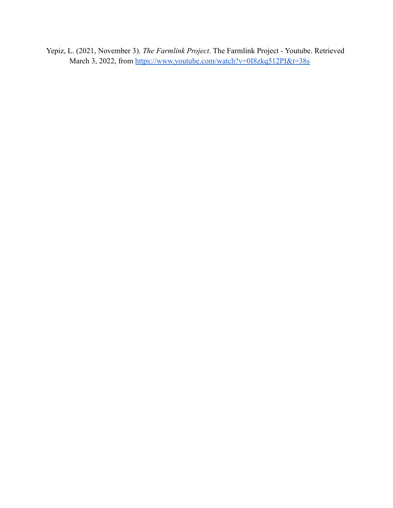Yepiz, L. (2021, November 3). *The Farmlink Project*. The Farmlink Project - Youtube. Retrieved March 3, 2022, from <https://www.youtube.com/watch?v=0I8zkq512PI&t=38s>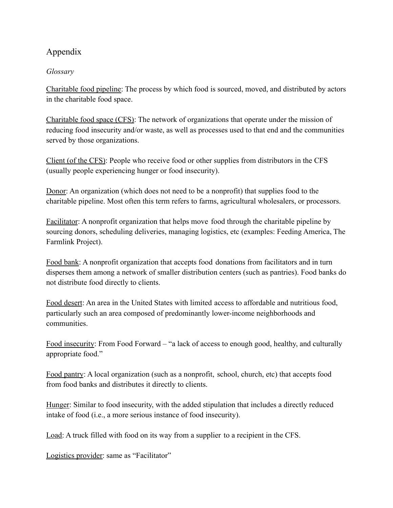# Appendix

# *Glossary*

Charitable food pipeline: The process by which food is sourced, moved, and distributed by actors in the charitable food space.

Charitable food space (CFS): The network of organizations that operate under the mission of reducing food insecurity and/or waste, as well as processes used to that end and the communities served by those organizations.

Client (of the CFS): People who receive food or other supplies from distributors in the CFS (usually people experiencing hunger or food insecurity).

Donor: An organization (which does not need to be a nonprofit) that supplies food to the charitable pipeline. Most often this term refers to farms, agricultural wholesalers, or processors.

Facilitator: A nonprofit organization that helps move food through the charitable pipeline by sourcing donors, scheduling deliveries, managing logistics, etc (examples: Feeding America, The Farmlink Project).

Food bank: A nonprofit organization that accepts food donations from facilitators and in turn disperses them among a network of smaller distribution centers (such as pantries). Food banks do not distribute food directly to clients.

Food desert: An area in the United States with limited access to affordable and nutritious food, particularly such an area composed of predominantly lower-income neighborhoods and communities.

Food insecurity: From Food Forward – "a lack of access to enough good, healthy, and culturally appropriate food."

Food pantry: A local organization (such as a nonprofit, school, church, etc) that accepts food from food banks and distributes it directly to clients.

Hunger: Similar to food insecurity, with the added stipulation that includes a directly reduced intake of food (i.e., a more serious instance of food insecurity).

Load: A truck filled with food on its way from a supplier to a recipient in the CFS.

Logistics provider: same as "Facilitator"